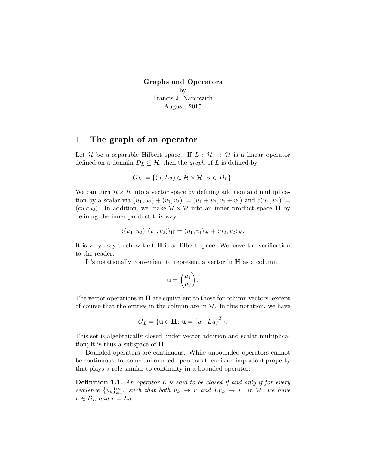Graphs and Operators by Francis J. Narcowich August, 2015

## 1 The graph of an operator

Let H be a separable Hilbert space. If  $L : \mathcal{H} \to \mathcal{H}$  is a linear operator defined on a domain  $D_L \subseteq \mathcal{H}$ , then the graph of L is defined by

$$
G_L := \{ (u, Lu) \in \mathcal{H} \times \mathcal{H} \colon u \in D_L \}.
$$

We can turn  $\mathcal{H} \times \mathcal{H}$  into a vector space by defining addition and multiplication by a scalar via  $(u_1, u_2) + (v_1, v_2) := (u_1 + u_2, v_1 + v_2)$  and  $c(u_1, u_2) :=$ (cu,cu<sub>2</sub>). In addition, we make  $\mathcal{H} \times \mathcal{H}$  into an inner product space **H** by defining the inner product this way:

$$
\langle (u_1, u_2), (v_1, v_2) \rangle_{\mathbf{H}} = \langle u_1, v_1 \rangle_{\mathcal{H}} + \langle u_2, v_2 \rangle_{\mathcal{H}}.
$$

It is very easy to show that  $H$  is a Hilbert space. We leave the verification to the reader.

It's notationally convenient to represent a vector in H as a column

$$
\mathbf{u} = \begin{pmatrix} u_1 \\ u_2 \end{pmatrix}.
$$

The vector operations in  $H$  are equivalent to those for column vectors, except of course that the entries in the column are in  $H$ . In this notation, we have

$$
G_L = \{ \mathbf{u} \in \mathbf{H} \colon \mathbf{u} = \begin{pmatrix} u & Lu \end{pmatrix}^T \}.
$$

This set is algebraically closed under vector addition and scalar multiplication; it is thus a subspace of  $H$ .

Bounded operators are continuous. While unbounded operators cannot be continuous, for some unbounded operators there is an important property that plays a role similar to continuity in a bounded operator:

**Definition 1.1.** An operator  $L$  is said to be closed if and only if for every sequence  ${u_k}_{k=1}^{\infty}$  such that both  $u_k \to u$  and  $Lu_k \to v$ , in  $\mathcal{H}$ , we have  $u \in D_L$  and  $v = Lu$ .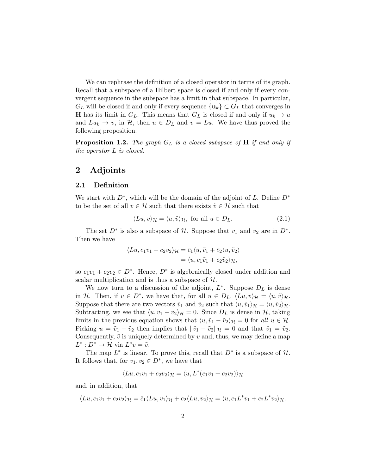We can rephrase the definition of a closed operator in terms of its graph. Recall that a subspace of a Hilbert space is closed if and only if every convergent sequence in the subspace has a limit in that subspace. In particular,  $G_L$  will be closed if and only if every sequence  $\{u_k\} \subset G_L$  that converges in **H** has its limit in  $G_L$ . This means that  $G_L$  is closed if and only if  $u_k \to u$ and  $Lu_k \to v$ , in  $\mathcal{H}$ , then  $u \in D_L$  and  $v = Lu$ . We have thus proved the following proposition.

<span id="page-1-0"></span>**Proposition 1.2.** The graph  $G_L$  is a closed subspace of  $H$  if and only if the operator L is closed.

## 2 Adjoints

#### 2.1 Definition

We start with  $D^*$ , which will be the domain of the adjoint of L. Define  $D^*$ to be the set of all  $v \in \mathcal{H}$  such that there exists  $\tilde{v} \in \mathcal{H}$  such that

$$
\langle Lu, v \rangle_{\mathcal{H}} = \langle u, \tilde{v} \rangle_{\mathcal{H}}, \text{ for all } u \in D_L.
$$
 (2.1)

The set  $D^*$  is also a subspace of  $\mathcal{H}$ . Suppose that  $v_1$  and  $v_2$  are in  $D^*$ . Then we have

$$
\langle Lu, c_1v_1 + c_2v_2 \rangle_{\mathcal{H}} = \bar{c}_1 \langle u, \tilde{v}_1 + \bar{c}_2 \langle u, \tilde{v}_2 \rangle = \langle u, c_1\tilde{v}_1 + c_2\tilde{v}_2 \rangle_{\mathcal{H}},
$$

so  $c_1v_1 + c_2v_2 \in D^*$ . Hence,  $D^*$  is algebraically closed under addition and scalar multiplication and is thus a subspace of H.

We now turn to a discussion of the adjoint,  $L^*$ . Suppose  $D_L$  is dense in H. Then, if  $v \in D^*$ , we have that, for all  $u \in D_L$ ,  $\langle Lu, v \rangle_{\mathcal{H}} = \langle u, \tilde{v} \rangle_{\mathcal{H}}$ . Suppose that there are two vectors  $\tilde{v}_1$  and  $\tilde{v}_2$  such that  $\langle u, \tilde{v}_1 \rangle_{\mathcal{H}} = \langle u, \tilde{v}_2 \rangle_{\mathcal{H}}$ . Subtracting, we see that  $\langle u, \tilde{v}_1 - \tilde{v}_2 \rangle_{\mathcal{H}} = 0$ . Since  $D_L$  is dense in  $\mathcal{H}$ , taking limits in the previous equation shows that  $\langle u, \tilde{v}_1 - \tilde{v}_2 \rangle_{\mathcal{H}} = 0$  for all  $u \in \mathcal{H}$ . Picking  $u = \tilde{v}_1 - \tilde{v}_2$  then implies that  $\|\tilde{v}_1 - \tilde{v}_2\|_{\mathcal{H}} = 0$  and that  $\tilde{v}_1 = \tilde{v}_2$ . Consequently,  $\tilde{v}$  is uniquely determined by v and, thus, we may define a map  $L^*: D^* \to \mathcal{H}$  via  $L^*v = \tilde{v}$ .

The map  $L^*$  is linear. To prove this, recall that  $D^*$  is a subspace of  $H$ . It follows that, for  $v_1, v_2 \in D^*$ , we have that

$$
\langle Lu, c_1v_1 + c_2v_2 \rangle_{\mathcal{H}} = \langle u, L^*(c_1v_1 + c_2v_2) \rangle_{\mathcal{H}}
$$

and, in addition, that

$$
\langle Lu, c_1v_1 + c_2v_2 \rangle_{\mathcal{H}} = \overline{c}_1 \langle Lu, v_1 \rangle_{\mathcal{H}} + c_2 \langle Lu, v_2 \rangle_{\mathcal{H}} = \langle u, c_1L^*v_1 + c_2L^*v_2 \rangle_{\mathcal{H}}.
$$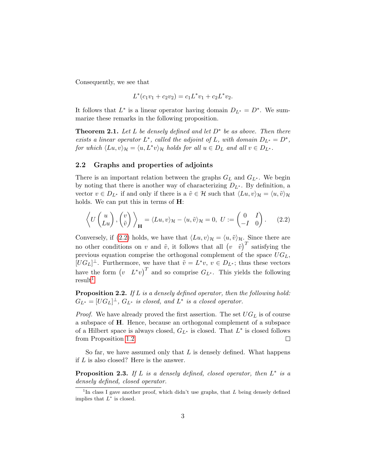Consequently, we see that

$$
L^*(c_1v_1 + c_2v_2) = c_1L^*v_1 + c_2L^*v_2.
$$

It follows that  $L^*$  is a linear operator having domain  $D_{L^*} = D^*$ . We summarize these remarks in the following proposition.

**Theorem 2.1.** Let L be densely defined and let  $D^*$  be as above. Then there exists a linear operator  $L^*$ , called the adjoint of L, with domain  $D_{L^*} = D^*$ , for which  $\langle Lu, v \rangle_{\mathcal{H}} = \langle u, L^*v \rangle_{\mathcal{H}}$  holds for all  $u \in D_L$  and all  $v \in D_{L^*}.$ 

### 2.2 Graphs and properties of adjoints

There is an important relation between the graphs  $G_L$  and  $G_{L^*}$ . We begin by noting that there is another way of characterizing  $D_{L^*}$ . By definition, a vector  $v \in D_{L^*}$  if and only if there is a  $\tilde{v} \in \mathcal{H}$  such that  $\langle Lu, v \rangle_{\mathcal{H}} = \langle u, \tilde{v} \rangle_{\mathcal{H}}$ holds. We can put this in terms of **H**:

<span id="page-2-0"></span>
$$
\left\langle U\begin{pmatrix} u \\ Lu \end{pmatrix}, \begin{pmatrix} v \\ \tilde{v} \end{pmatrix} \right\rangle_{\mathbf{H}} = \langle Lu, v \rangle_{\mathcal{H}} - \langle u, \tilde{v} \rangle_{\mathcal{H}} = 0, \ U := \begin{pmatrix} 0 & I \\ -I & 0 \end{pmatrix}.
$$
 (2.2)

Conversely, if [\(2.2\)](#page-2-0) holds, we have that  $\langle Lu, v \rangle_{\mathcal{H}} = \langle u, \tilde{v} \rangle_{\mathcal{H}}$ . Since there are no other conditions on v and  $\tilde{v}$ , it follows that all  $(v \tilde{v})^T$  satisfying the previous equation comprise the orthogonal complement of the space  $UG_L$ ,  $[UG_L]^\perp$ . Furthermore, we have that  $\tilde{v} = L^*v, v \in D_{L^*}$ ; thus these vectors have the form  $(v L^*v)^T$  and so comprise  $G_{L^*}$ . This yields the following  $result<sup>1</sup>$  $result<sup>1</sup>$  $result<sup>1</sup>$ 

<span id="page-2-2"></span>Proposition 2.2. If L is a densely defined operator, then the following hold:  $G_{L^*} = [UG_L]^\perp$ ,  $G_{L^*}$  is closed, and  $L^*$  is a closed operator.

*Proof.* We have already proved the first assertion. The set  $UG_L$  is of course a subspace of H. Hence, because an orthogonal complement of a subspace of a Hilbert space is always closed,  $G_{L^*}$  is closed. That  $L^*$  is closed follows from Proposition [1.2.](#page-1-0)  $\Box$ 

So far, we have assumed only that  $L$  is densely defined. What happens if L is also closed? Here is the answer.

**Proposition 2.3.** If L is a densely defined, closed operator, then  $L^*$  is a densely defined, closed operator.

<span id="page-2-1"></span><sup>&</sup>lt;sup>1</sup>In class I gave another proof, which didn't use graphs, that  $L$  being densely defined implies that  $L^*$  is closed.